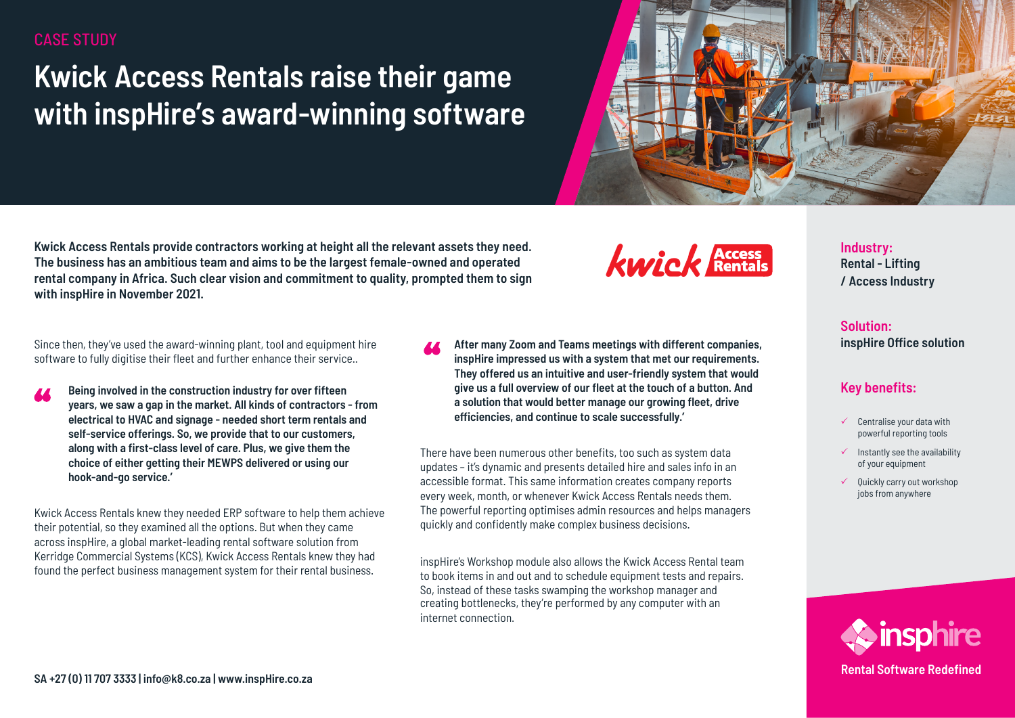## CASE STUDY

# **Kwick Access Rentals raise their game with inspHire's award-winning software**



**Kwick Access Rentals provide contractors working at height all the relevant assets they need. The business has an ambitious team and aims to be the largest female-owned and operated rental company in Africa. Such clear vision and commitment to quality, prompted them to sign with inspHire in November 2021.** 

Since then, they've used the award-winning plant, tool and equipment hire software to fully digitise their fleet and further enhance their service..

**Being involved in the construction industry for over fifteen years, we saw a gap in the market. All kinds of contractors - from electrical to HVAC and signage - needed short term rentals and self-service offerings. So, we provide that to our customers, along with a first-class level of care. Plus, we give them the choice of either getting their MEWPS delivered or using our hook-and-go service.'** 

Kwick Access Rentals knew they needed ERP software to help them achieve their potential, so they examined all the options. But when they came across inspHire, a global market-leading rental software solution from Kerridge Commercial Systems (KCS), Kwick Access Rentals knew they had found the perfect business management system for their rental business.

**After many Zoom and Teams meetings with different companies, inspHire impressed us with a system that met our requirements. They offered us an intuitive and user-friendly system that would give us a full overview of our fleet at the touch of a button. And a solution that would better manage our growing fleet, drive efficiencies, and continue to scale successfully.'**

kwick **Access** 

There have been numerous other benefits, too such as system data updates – it's dynamic and presents detailed hire and sales info in an accessible format. This same information creates company reports every week, month, or whenever Kwick Access Rentals needs them. The powerful reporting optimises admin resources and helps managers quickly and confidently make complex business decisions.

inspHire's Workshop module also allows the Kwick Access Rental team to book items in and out and to schedule equipment tests and repairs. So, instead of these tasks swamping the workshop manager and creating bottlenecks, they're performed by any computer with an internet connection.

**Industry: Rental - Lifting / Access Industry**

**Solution: inspHire Office solution**

## **Key benefits:**

- $\checkmark$  Centralise your data with powerful reporting tools
- $\checkmark$  Instantly see the availability of your equipment
- Ouickly carry out workshop jobs from anywhere